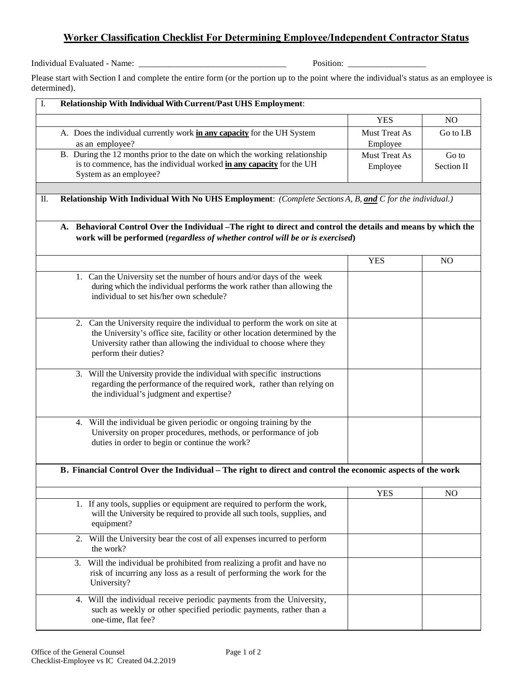## **Worker Classification Checklist For Determining Employee/Independent Contractor Status**

Individual Evaluated - Name: \_\_\_\_\_\_\_\_\_\_\_\_\_\_\_\_\_\_\_\_\_\_\_\_\_\_\_\_\_\_\_\_\_\_ Position: \_\_\_\_\_\_\_\_\_\_\_\_\_\_\_\_\_\_

Please start with Section I and complete the entire form (or the portion up to the point where the individual's status as an employee is determined).

| Relationship With Individual With Current/Past UHS Employment:                                                                                                                                                                                            |                                  |                     |
|-----------------------------------------------------------------------------------------------------------------------------------------------------------------------------------------------------------------------------------------------------------|----------------------------------|---------------------|
|                                                                                                                                                                                                                                                           | <b>YES</b>                       | NO.                 |
| A. Does the individual currently work in any capacity for the UH System<br>as an employee?                                                                                                                                                                | <b>Must Treat As</b><br>Employee | Go to I.B           |
| B. During the 12 months prior to the date on which the working relationship<br>is to commence, has the individual worked in any capacity for the UH<br>System as an employee?                                                                             | Must Treat As<br>Employee        | Go to<br>Section II |
| Relationship With Individual With No UHS Employment: (Complete Sections A, B, and C for the individual.)                                                                                                                                                  |                                  |                     |
| A. Behavioral Control Over the Individual –The right to direct and control the details and means by which the<br>work will be performed (regardless of whether control will be or is exercised)                                                           |                                  |                     |
|                                                                                                                                                                                                                                                           | <b>YES</b>                       | N <sub>O</sub>      |
| 1. Can the University set the number of hours and/or days of the week<br>during which the individual performs the work rather than allowing the<br>individual to set his/her own schedule?                                                                |                                  |                     |
| 2. Can the University require the individual to perform the work on site at<br>the University's office site, facility or other location determined by the<br>University rather than allowing the individual to choose where they<br>perform their duties? |                                  |                     |
| 3. Will the University provide the individual with specific instructions<br>regarding the performance of the required work, rather than relying on<br>the individual's judgment and expertise?                                                            |                                  |                     |
| 4. Will the individual be given periodic or ongoing training by the<br>University on proper procedures, methods, or performance of job<br>duties in order to begin or continue the work?                                                                  |                                  |                     |
| B. Financial Control Over the Individual – The right to direct and control the economic aspects of the work                                                                                                                                               |                                  |                     |
|                                                                                                                                                                                                                                                           | <b>YES</b>                       | N <sub>O</sub>      |
| 1. If any tools, supplies or equipment are required to perform the work,<br>will the University be required to provide all such tools, supplies, and<br>equipment?                                                                                        |                                  |                     |
| 2. Will the University bear the cost of all expenses incurred to perform<br>the work?                                                                                                                                                                     |                                  |                     |
| 3. Will the individual be prohibited from realizing a profit and have no<br>risk of incurring any loss as a result of performing the work for the<br>University?                                                                                          |                                  |                     |
| 4. Will the individual receive periodic payments from the University,<br>such as weekly or other specified periodic payments, rather than a<br>one-time, flat fee?                                                                                        |                                  |                     |